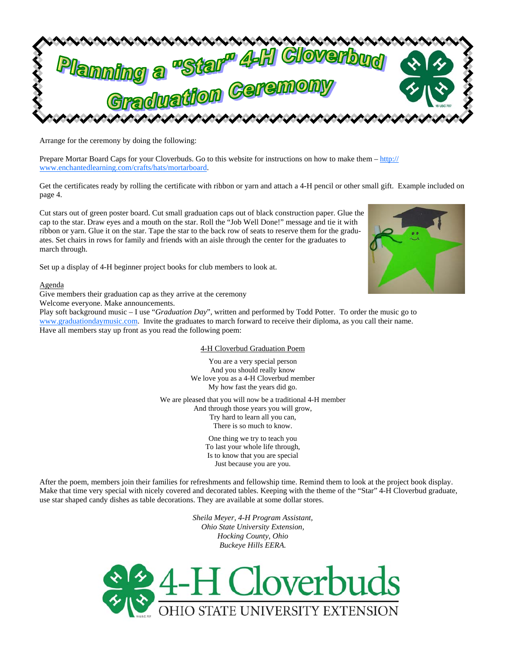

Arrange for the ceremony by doing the following:

Prepare Mortar Board Caps for your Cloverbuds. Go to this website for instructions on how to make them – http:// www.enchantedlearning.com/crafts/hats/mortarboard.

Get the certificates ready by rolling the certificate with ribbon or yarn and attach a 4-H pencil or other small gift. Example included on page 4.

Cut stars out of green poster board. Cut small graduation caps out of black construction paper. Glue the cap to the star. Draw eyes and a mouth on the star. Roll the "Job Well Done!" message and tie it with ribbon or yarn. Glue it on the star. Tape the star to the back row of seats to reserve them for the graduates. Set chairs in rows for family and friends with an aisle through the center for the graduates to march through.

Set up a display of 4-H beginner project books for club members to look at.

Agenda

Give members their graduation cap as they arrive at the ceremony

Welcome everyone. Make announcements.

Play soft background music – I use "*Graduation Day*", written and performed by Todd Potter. To order the music go to www.graduationdaymusic.com. Invite the graduates to march forward to receive their diploma, as you call their name. Have all members stay up front as you read the following poem:

## 4-H Cloverbud Graduation Poem

You are a very special person And you should really know We love you as a 4-H Cloverbud member My how fast the years did go.

We are pleased that you will now be a traditional 4-H member And through those years you will grow, Try hard to learn all you can, There is so much to know.

> One thing we try to teach you To last your whole life through, Is to know that you are special Just because you are you.

After the poem, members join their families for refreshments and fellowship time. Remind them to look at the project book display. Make that time very special with nicely covered and decorated tables. Keeping with the theme of the "Star" 4-H Cloverbud graduate, use star shaped candy dishes as table decorations. They are available at some dollar stores.

> *Sheila Meyer, 4-H Program Assistant, Ohio State University Extension, Hocking County, Ohio Buckeye Hills EERA.*



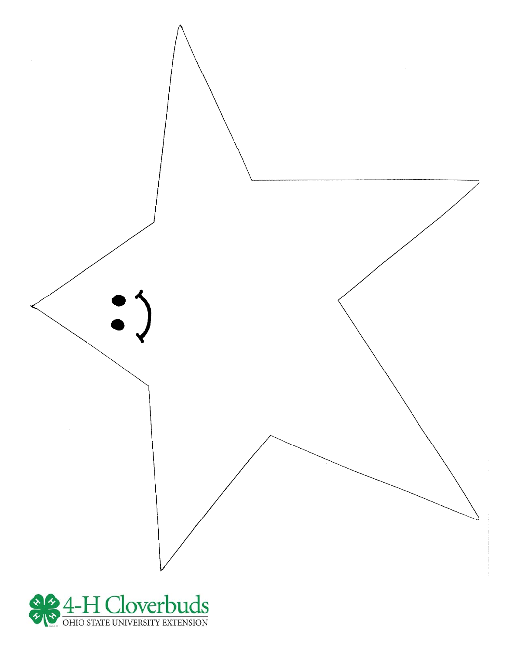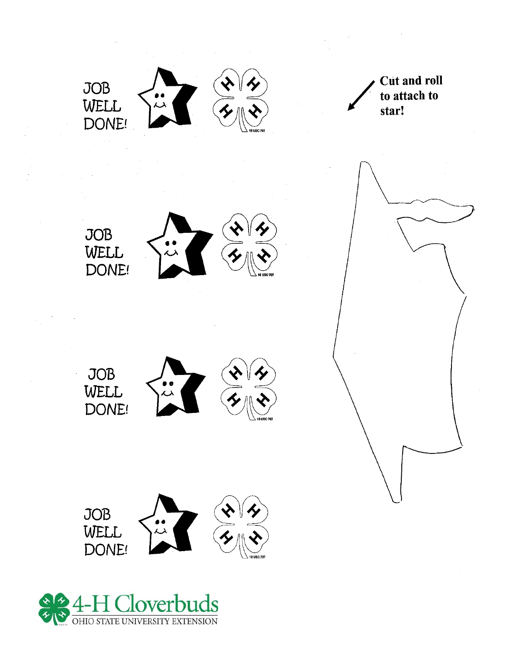